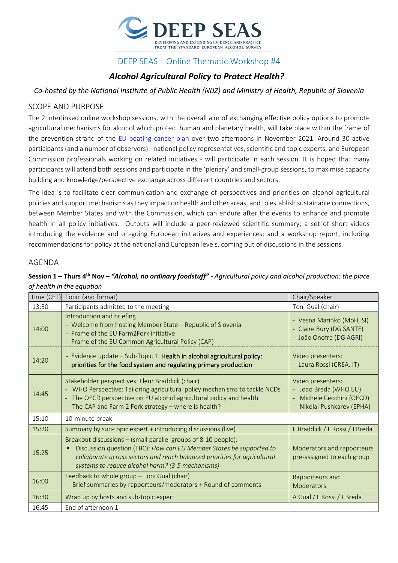

## DEEP SEAS | Online Thematic Workshop #4

# *Alcohol Agricultural Policy to Protect Health?*

*Co-hosted by the National Institute of Public Health (NIJZ) and Ministry of Health, Republic of Slovenia*

#### SCOPE AND PURPOSE

The 2 interlinked online workshop sessions, with the overall aim of exchanging effective policy options to promote agricultural mechanisms for alcohol which protect human and planetary health, will take place within the frame of the prevention strand of the [EU beating cancer plan](https://ec.europa.eu/info/strategy/priorities-2019-2024/promoting-our-european-way-life/european-health-union/cancer-plan-europe_en) over two afternoons in November 2021. Around 30 active participants (and a number of observers) - national policy representatives, scientific and topic experts, and European Commission professionals working on related initiatives - will participate in each session. It is hoped that many participants will attend both sessions and participate in the 'plenary' and small-group sessions, to maximise capacity building and knowledge/perspective exchange across different countries and sectors.

The idea is to facilitate clear communication and exchange of perspectives and priorities on alcohol agricultural policies and support mechanisms as they impact on health and other areas, and to establish sustainable connections, between Member States and with the Commission, which can endure after the events to enhance and promote health in all policy initiatives. Outputs will include a peer-reviewed scientific summary; a set of short videos introducing the evidence and on-going European initiatives and experiences; and a workshop report, including recommendations for policy at the national and European levels, coming out of discussions in the sessions.

#### AGENDA

#### **Session 1 – Thurs 4th Nov –** *"Alcohol, no ordinary foodstuff" - Agricultural policy and alcohol production: the place of health in the equation*

| Time (CET) | Topic (and format)                                                                                                                                                                                                                                                     | Chair/Speaker                                                                                                       |
|------------|------------------------------------------------------------------------------------------------------------------------------------------------------------------------------------------------------------------------------------------------------------------------|---------------------------------------------------------------------------------------------------------------------|
| 13:50      | Participants admitted to the meeting                                                                                                                                                                                                                                   | Toni Gual (chair)                                                                                                   |
| 14:00      | Introduction and briefing<br>- Welcome from hosting Member State - Republic of Slovenia<br>- Frame of the EU Farm2Fork initiative<br>- Frame of the EU Common Agricultural Policy (CAP)                                                                                | - Vesna Marinko (MoH, SI)<br>- Claire Bury (DG SANTE)<br>- João Onofre (DG AGRI)                                    |
| 14:20      | - Evidence update - Sub-Topic 1: Health in alcohol agricultural policy:<br>priorities for the food system and regulating primary production                                                                                                                            | Video presenters:<br>- Laura Rossi (CREA, IT)                                                                       |
| 14:45      | Stakeholder perspectives: Fleur Braddick (chair)<br>- WHO Perspective: Tailoring agricultural policy mechanisms to tackle NCDs<br>- The OECD perspective on EU alcohol agricultural policy and health<br>- The CAP and Farm 2 Fork strategy - where is health?         | Video presenters:<br>- Joao Breda (WHO EU)<br>Michele Cecchini (OECD)<br>$\blacksquare$<br>Nikolai Pushkarev (EPHA) |
| 15:10      | 10-minute break                                                                                                                                                                                                                                                        |                                                                                                                     |
| 15:20      | Summary by sub-topic expert + introducing discussions (live)                                                                                                                                                                                                           | F Braddick / L Rossi / J Breda                                                                                      |
| 15:25      | Breakout discussions – (small parallel groups of 8-10 people):<br>Discussion question (TBC): How can EU Member States be supported to<br>collaborate across sectors and reach balanced priorities for agricultural<br>systems to reduce alcohol harm? (3-5 mechanisms) | Moderators and rapporteurs<br>pre-assigned to each group                                                            |
| 16:00      | Feedback to whole group - Toni Gual (chair)<br>Brief summaries by rapporteurs/moderators + Round of comments                                                                                                                                                           | Rapporteurs and<br>Moderators                                                                                       |
| 16:30      | Wrap up by hosts and sub-topic expert                                                                                                                                                                                                                                  | A Gual / L Rossi / J Breda                                                                                          |
| 16:45      | End of afternoon 1                                                                                                                                                                                                                                                     |                                                                                                                     |